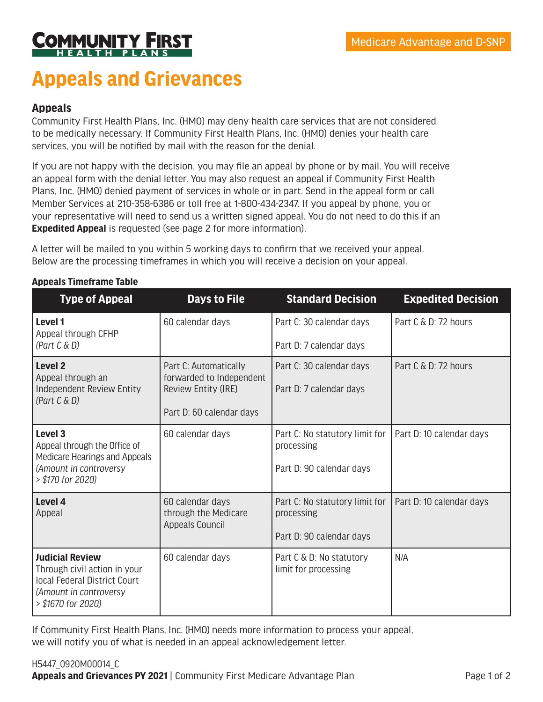

# **Appeals and Grievances**

## **Appeals**

Community First Health Plans, Inc. (HMO) may deny health care services that are not considered to be medically necessary. If Community First Health Plans, Inc. (HMO) denies your health care services, you will be notified by mail with the reason for the denial.

If you are not happy with the decision, you may file an appeal by phone or by mail. You will receive an appeal form with the denial letter. You may also request an appeal if Community First Health Plans, Inc. (HMO) denied payment of services in whole or in part. Send in the appeal form or call Member Services at 210-358-6386 or toll free at 1-800-434-2347. If you appeal by phone, you or your representative will need to send us a written signed appeal. You do not need to do this if an **Expedited Appeal** is requested (see page 2 for more information).

A letter will be mailed to you within 5 working days to confirm that we received your appeal. Below are the processing timeframes in which you will receive a decision on your appeal.

| <b>Type of Appeal</b>                                                                                                                  | <b>Days to File</b>                                                | <b>Standard Decision</b>                         | <b>Expedited Decision</b> |
|----------------------------------------------------------------------------------------------------------------------------------------|--------------------------------------------------------------------|--------------------------------------------------|---------------------------|
| Level 1<br>Appeal through CFHP                                                                                                         | 60 calendar days                                                   | Part C: 30 calendar days                         | Part C & D: 72 hours      |
| (Part C & D)                                                                                                                           |                                                                    | Part D: 7 calendar days                          |                           |
| <b>Level 2</b><br>Appeal through an<br>Independent Review Entity<br>(Part C & D)                                                       | Part C: Automatically<br>forwarded to Independent                  | Part C: 30 calendar days                         | Part C & D: 72 hours      |
|                                                                                                                                        | Review Entity (IRE)                                                | Part D: 7 calendar days                          |                           |
|                                                                                                                                        | Part D: 60 calendar days                                           |                                                  |                           |
| Level 3<br>Appeal through the Office of<br>Medicare Hearings and Appeals                                                               | 60 calendar days                                                   | Part C: No statutory limit for<br>processing     | Part D: 10 calendar days  |
| (Amount in controversy<br>> \$170 for 2020)                                                                                            |                                                                    | Part D: 90 calendar days                         |                           |
| Level 4<br>Appeal                                                                                                                      | 60 calendar days<br>through the Medicare<br><b>Appeals Council</b> | Part C: No statutory limit for<br>processing     | Part D: 10 calendar days  |
|                                                                                                                                        |                                                                    | Part D: 90 calendar days                         |                           |
| <b>Judicial Review</b><br>Through civil action in your<br>local Federal District Court<br>(Amount in controversy<br>> \$1670 for 2020) | 60 calendar days                                                   | Part C & D: No statutory<br>limit for processing | N/A                       |

#### **Appeals Timeframe Table**

If Community First Health Plans, Inc. (HMO) needs more information to process your appeal, we will notify you of what is needed in an appeal acknowledgement letter.